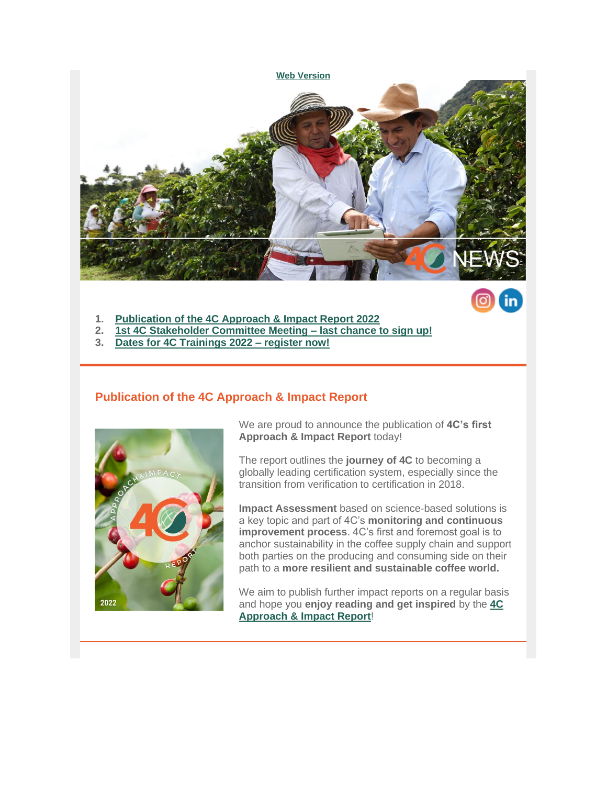

- **1. Publication of the 4C Approach & Impact Report 2022**
- **2. 1st 4C Stakeholder Committee Meeting – last chance to sign up!**
- **3. Dates for 4C Trainings 2022 – register now!**

### **Publication of the 4C Approach & Impact Report**



We are proud to announce the publication of **4C's first Approach & Impact Report** today!

in

The report outlines the **journey of 4C** to becoming a globally leading certification system, especially since the transition from verification to certification in 2018.

**Impact Assessment** based on science-based solutions is a key topic and part of 4C's **monitoring and continuous improvement process**. 4C's first and foremost goal is to anchor sustainability in the coffee supply chain and support both parties on the producing and consuming side on their path to a **more resilient and sustainable coffee world.**

We aim to publish further impact reports on a regular basis and hope you **enjoy reading and get inspired** by the **4C Approach & Impact Report**!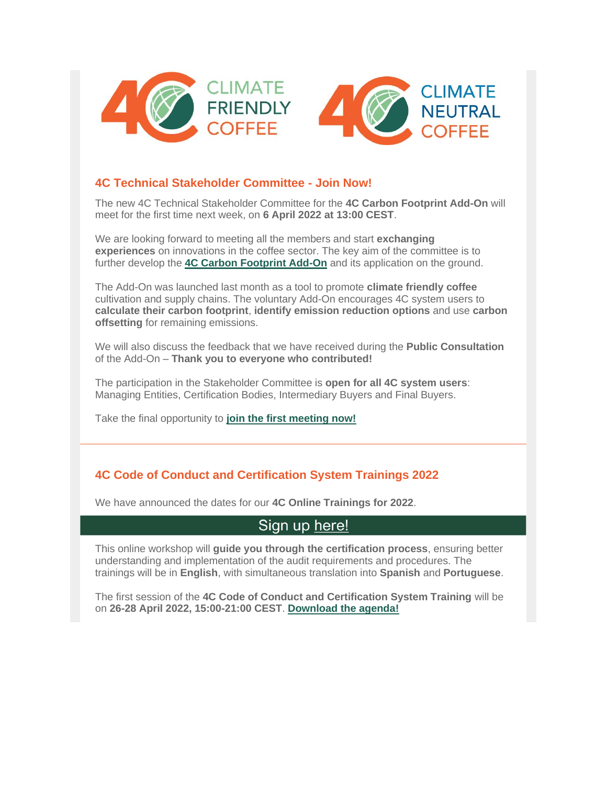

### **4C Technical Stakeholder Committee - Join Now!**

The new 4C Technical Stakeholder Committee for the **4C Carbon Footprint Add-On** will meet for the first time next week, on **6 April 2022 at 13:00 CEST**.

We are looking forward to meeting all the members and start **exchanging experiences** on innovations in the coffee sector. The key aim of the committee is to further develop the **[4C Carbon Footprint Add-On](https://amxe.net/io0aec4n-6d0os7xi-j6z1329e-pe1)** and its application on the ground.

The Add-On was launched last month as a tool to promote **climate friendly coffee** cultivation and supply chains. The voluntary Add-On encourages 4C system users to **calculate their carbon footprint**, **identify emission reduction options** and use **carbon offsetting** for remaining emissions.

We will also discuss the feedback that we have received during the **Public Consultation** of the Add-On – **Thank you to everyone who contributed!**

The participation in the Stakeholder Committee is **open for all 4C system users**: Managing Entities, Certification Bodies, Intermediary Buyers and Final Buyers.

Take the final opportunity to **[join the first meeting now!](https://amxe.net/io0aec4n-6d0os7xi-nktlsgg3-xwd)**

# **4C Code of Conduct and Certification System Trainings 2022**

We have announced the dates for our **4C Online Trainings for 2022**.

# Sign up here!

This online workshop will **guide you through the certification process**, ensuring better understanding and implementation of the audit requirements and procedures. The trainings will be in **English**, with simultaneous translation into **Spanish** and **Portuguese**.

The first session of the **4C Code of Conduct and Certification System Training** will be on **26-28 April 2022, 15:00-21:00 CEST**. **[Download the agenda!](https://amxe.net/io0aec4n-6d0os7xi-t1562doi-11qf)**